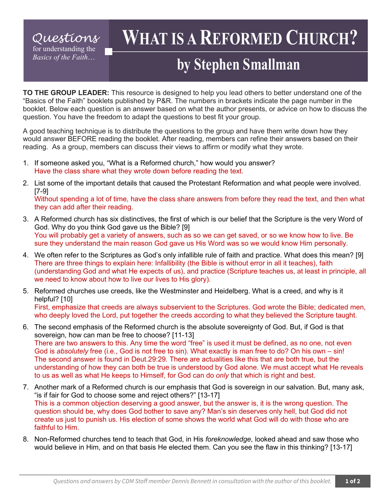### *Questions* for understanding the *Basics of the Faith*…

# **WHAT IS A REFORMED CHURCH?**

## **by Stephen Smallman**

**TO THE GROUP LEADER:** This resource is designed to help you lead others to better understand one of the "Basics of the Faith" booklets published by P&R. The numbers in brackets indicate the page number in the booklet. Below each question is an answer based on what the author presents, or advice on how to discuss the question. You have the freedom to adapt the questions to best fit your group.

A good teaching technique is to distribute the questions to the group and have them write down how they would answer BEFORE reading the booklet. After reading, members can refine their answers based on their reading. As a group, members can discuss their views to affirm or modify what they wrote.

- 1. If someone asked you, "What is a Reformed church," how would you answer? Have the class share what they wrote down before reading the text.
- 2. List some of the important details that caused the Protestant Reformation and what people were involved. [7-9]

Without spending a lot of time, have the class share answers from before they read the text, and then what they can add after their reading.

- 3. A Reformed church has six distinctives, the first of which is our belief that the Scripture is the very Word of God. Why do you think God gave us the Bible? [9] You will probably get a variety of answers, such as so we can get saved, or so we know how to live. Be sure they understand the main reason God gave us His Word was so we would know Him personally.
- 4. We often refer to the Scriptures as God's only infallible rule of faith and practice. What does this mean? [9] There are three things to explain here: Infallibility (the Bible is without error in all it teaches), faith (understanding God and what He expects of us), and practice (Scripture teaches us, at least in principle, all we need to know about how to live our lives to His glory).
- 5. Reformed churches use creeds, like the Westminster and Heidelberg. What is a creed, and why is it helpful? [10] First, emphasize that creeds are always subservient to the Scriptures. God wrote the Bible; dedicated men,

who deeply loved the Lord, put together the creeds according to what they believed the Scripture taught.

- 6. The second emphasis of the Reformed church is the absolute sovereignty of God. But, if God is that sovereign, how can man be free to choose? [11-13] There are two answers to this. Any time the word "free" is used it must be defined, as no one, not even God is *absolutely* free (i.e., God is not free to sin). What exactly is man free to do? On his own – sin! The second answer is found in Deut.29:29. There are actualities like this that are both true, but the understanding of how they can both be true is understood by God alone. We must accept what He reveals to us as well as what He keeps to Himself, for God can do *only* that which is right and best.
- 7. Another mark of a Reformed church is our emphasis that God is sovereign in our salvation. But, many ask, "is if fair for God to choose some and reject others?" [13-17] This is a common objection deserving a good answer, but the answer is, it is the wrong question. The question should be, why does God bother to save any? Man's sin deserves only hell, but God did not create us just to punish us. His election of some shows the world what God will do with those who are faithful to Him.
- 8. Non-Reformed churches tend to teach that God, in His *foreknowledge*, looked ahead and saw those who would believe in Him, and on that basis He elected them. Can you see the flaw in this thinking? [13-17]